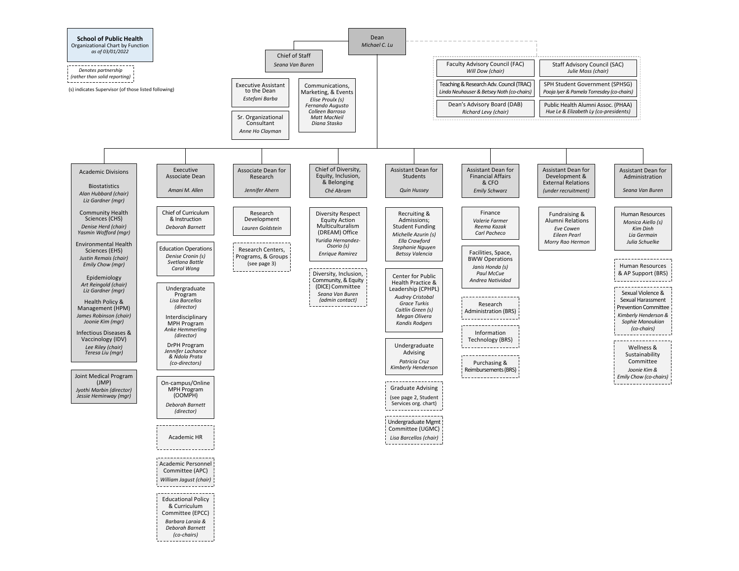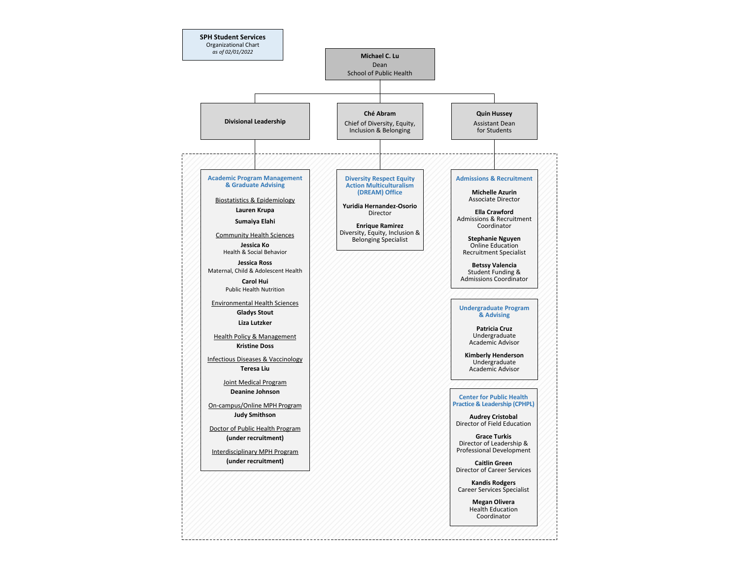